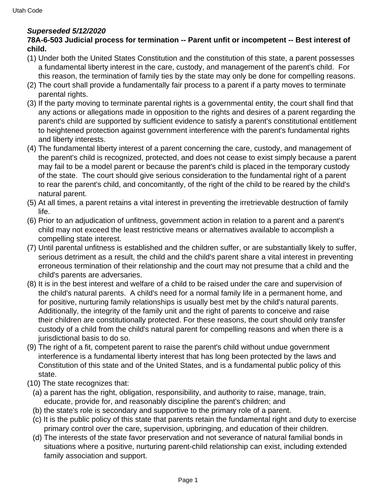## **Superseded 5/12/2020**

## **78A-6-503 Judicial process for termination -- Parent unfit or incompetent -- Best interest of child.**

- (1) Under both the United States Constitution and the constitution of this state, a parent possesses a fundamental liberty interest in the care, custody, and management of the parent's child. For this reason, the termination of family ties by the state may only be done for compelling reasons.
- (2) The court shall provide a fundamentally fair process to a parent if a party moves to terminate parental rights.
- (3) If the party moving to terminate parental rights is a governmental entity, the court shall find that any actions or allegations made in opposition to the rights and desires of a parent regarding the parent's child are supported by sufficient evidence to satisfy a parent's constitutional entitlement to heightened protection against government interference with the parent's fundamental rights and liberty interests.
- (4) The fundamental liberty interest of a parent concerning the care, custody, and management of the parent's child is recognized, protected, and does not cease to exist simply because a parent may fail to be a model parent or because the parent's child is placed in the temporary custody of the state. The court should give serious consideration to the fundamental right of a parent to rear the parent's child, and concomitantly, of the right of the child to be reared by the child's natural parent.
- (5) At all times, a parent retains a vital interest in preventing the irretrievable destruction of family life.
- (6) Prior to an adjudication of unfitness, government action in relation to a parent and a parent's child may not exceed the least restrictive means or alternatives available to accomplish a compelling state interest.
- (7) Until parental unfitness is established and the children suffer, or are substantially likely to suffer, serious detriment as a result, the child and the child's parent share a vital interest in preventing erroneous termination of their relationship and the court may not presume that a child and the child's parents are adversaries.
- (8) It is in the best interest and welfare of a child to be raised under the care and supervision of the child's natural parents. A child's need for a normal family life in a permanent home, and for positive, nurturing family relationships is usually best met by the child's natural parents. Additionally, the integrity of the family unit and the right of parents to conceive and raise their children are constitutionally protected. For these reasons, the court should only transfer custody of a child from the child's natural parent for compelling reasons and when there is a jurisdictional basis to do so.
- (9) The right of a fit, competent parent to raise the parent's child without undue government interference is a fundamental liberty interest that has long been protected by the laws and Constitution of this state and of the United States, and is a fundamental public policy of this state.
- (10) The state recognizes that:
	- (a) a parent has the right, obligation, responsibility, and authority to raise, manage, train, educate, provide for, and reasonably discipline the parent's children; and
	- (b) the state's role is secondary and supportive to the primary role of a parent.
	- (c) It is the public policy of this state that parents retain the fundamental right and duty to exercise primary control over the care, supervision, upbringing, and education of their children.
	- (d) The interests of the state favor preservation and not severance of natural familial bonds in situations where a positive, nurturing parent-child relationship can exist, including extended family association and support.